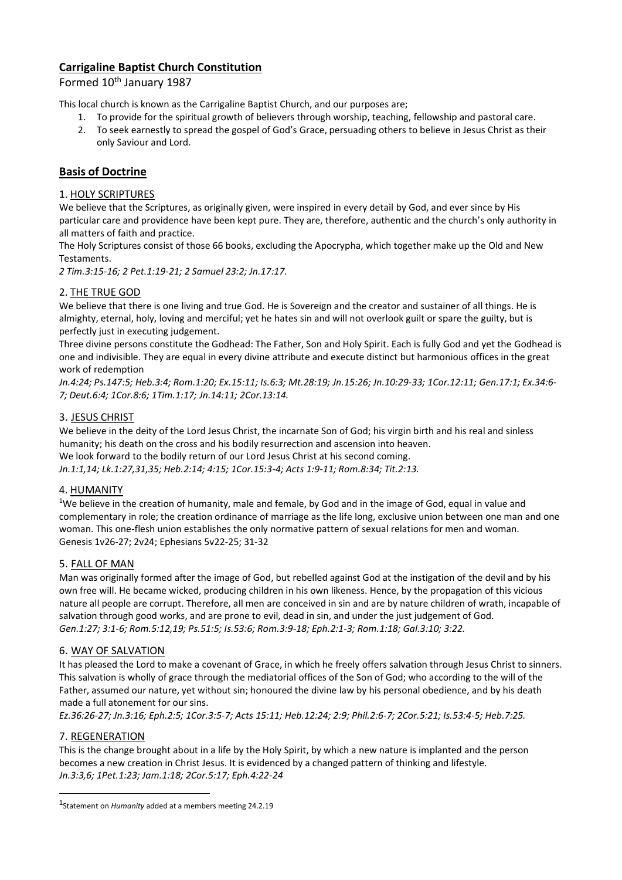# **Carrigaline Baptist Church Constitution**

Formed 10<sup>th</sup> January 1987

This local church is known as the Carrigaline Baptist Church, and our purposes are;

- 1. To provide for the spiritual growth of believers through worship, teaching, fellowship and pastoral care.
- 2. To seek earnestly to spread the gospel of God's Grace, persuading others to believe in Jesus Christ as their only Saviour and Lord.

# **Basis of Doctrine**

## 1. HOLY SCRIPTURES

We believe that the Scriptures, as originally given, were inspired in every detail by God, and ever since by His particular care and providence have been kept pure. They are, therefore, authentic and the church's only authority in all matters of faith and practice.

The Holy Scriptures consist of those 66 books, excluding the Apocrypha, which together make up the Old and New Testaments.

*2 Tim.3:15-16; 2 Pet.1:19-21; 2 Samuel 23:2; Jn.17:17.*

## 2. THE TRUE GOD

We believe that there is one living and true God. He is Sovereign and the creator and sustainer of all things. He is almighty, eternal, holy, loving and merciful; yet he hates sin and will not overlook guilt or spare the guilty, but is perfectly just in executing judgement.

Three divine persons constitute the Godhead: The Father, Son and Holy Spirit. Each is fully God and yet the Godhead is one and indivisible. They are equal in every divine attribute and execute distinct but harmonious offices in the great work of redemption

*Jn.4:24; Ps.147:5; Heb.3:4; Rom.1:20; Ex.15:11; Is.6:3; Mt.28:19; Jn.15:26; Jn.10:29-33; 1Cor.12:11; Gen.17:1; Ex.34:6- 7; Deut.6:4; 1Cor.8:6; 1Tim.1:17; Jn.14:11; 2Cor.13:14.*

## 3. JESUS CHRIST

We believe in the deity of the Lord Jesus Christ, the incarnate Son of God; his virgin birth and his real and sinless humanity; his death on the cross and his bodily resurrection and ascension into heaven. We look forward to the bodily return of our Lord Jesus Christ at his second coming.

*Jn.1:1,14; Lk.1:27,31,35; Heb.2:14; 4:15; 1Cor.15:3-4; Acts 1:9-11; Rom.8:34; Tit.2:13.*

### 4. HUMANITY

<sup>1</sup>We believe in the creation of humanity, male and female, by God and in the image of God, equal in value and complementary in role; the creation ordinance of marriage as the life long, exclusive union between one man and one woman. This one-flesh union establishes the only normative pattern of sexual relations for men and woman. Genesis 1v26-27; 2v24; Ephesians 5v22-25; 31-32

### 5. FALL OF MAN

Man was originally formed after the image of God, but rebelled against God at the instigation of the devil and by his own free will. He became wicked, producing children in his own likeness. Hence, by the propagation of this vicious nature all people are corrupt. Therefore, all men are conceived in sin and are by nature children of wrath, incapable of salvation through good works, and are prone to evil, dead in sin, and under the just judgement of God. *Gen.1:27; 3:1-6; Rom.5:12,19; Ps.51:5; Is.53:6; Rom.3:9-18; Eph.2:1-3; Rom.1:18; Gal.3:10; 3:22.*

### 6. WAY OF SALVATION

It has pleased the Lord to make a covenant of Grace, in which he freely offers salvation through Jesus Christ to sinners. This salvation is wholly of grace through the mediatorial offices of the Son of God; who according to the will of the Father, assumed our nature, yet without sin; honoured the divine law by his personal obedience, and by his death made a full atonement for our sins.

*Ez.36:26-27; Jn.3:16; Eph.2:5; 1Cor.3:5-7; Acts 15:11; Heb.12:24; 2:9; Phil.2:6-7; 2Cor.5:21; Is.53:4-5; Heb.7:25.*

### 7. REGENERATION

1

This is the change brought about in a life by the Holy Spirit, by which a new nature is implanted and the person becomes a new creation in Christ Jesus. It is evidenced by a changed pattern of thinking and lifestyle. *Jn.3:3,6; 1Pet.1:23; Jam.1:18; 2Cor.5:17; Eph.4:22-24*

<sup>1</sup> Statement on *Humanity* added at a members meeting 24.2.19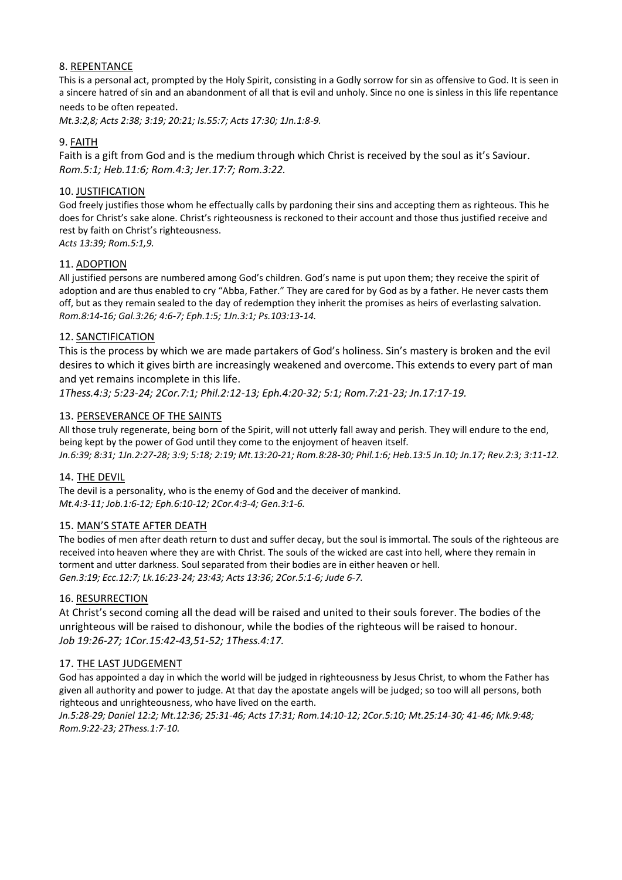## 8. REPENTANCE

This is a personal act, prompted by the Holy Spirit, consisting in a Godly sorrow for sin as offensive to God. It is seen in a sincere hatred of sin and an abandonment of all that is evil and unholy. Since no one is sinless in this life repentance needs to be often repeated.

*Mt.3:2,8; Acts 2:38; 3:19; 20:21; Is.55:7; Acts 17:30; 1Jn.1:8-9.*

## 9. FAITH

Faith is a gift from God and is the medium through which Christ is received by the soul as it's Saviour. *Rom.5:1; Heb.11:6; Rom.4:3; Jer.17:7; Rom.3:22.*

### 10. JUSTIFICATION

God freely justifies those whom he effectually calls by pardoning their sins and accepting them as righteous. This he does for Christ's sake alone. Christ's righteousness is reckoned to their account and those thus justified receive and rest by faith on Christ's righteousness.

*Acts 13:39; Rom.5:1,9.*

### 11. ADOPTION

All justified persons are numbered among God's children. God's name is put upon them; they receive the spirit of adoption and are thus enabled to cry "Abba, Father." They are cared for by God as by a father. He never casts them off, but as they remain sealed to the day of redemption they inherit the promises as heirs of everlasting salvation. *Rom.8:14-16; Gal.3:26; 4:6-7; Eph.1:5; 1Jn.3:1; Ps.103:13-14.*

### 12. SANCTIFICATION

This is the process by which we are made partakers of God's holiness. Sin's mastery is broken and the evil desires to which it gives birth are increasingly weakened and overcome. This extends to every part of man and yet remains incomplete in this life.

*1Thess.4:3; 5:23-24; 2Cor.7:1; Phil.2:12-13; Eph.4:20-32; 5:1; Rom.7:21-23; Jn.17:17-19.*

## 13. PERSEVERANCE OF THE SAINTS

All those truly regenerate, being born of the Spirit, will not utterly fall away and perish. They will endure to the end, being kept by the power of God until they come to the enjoyment of heaven itself. *Jn.6:39; 8:31; 1Jn.2:27-28; 3:9; 5:18; 2:19; Mt.13:20-21; Rom.8:28-30; Phil.1:6; Heb.13:5 Jn.10; Jn.17; Rev.2:3; 3:11-12.*

### 14. THE DEVIL

The devil is a personality, who is the enemy of God and the deceiver of mankind. *Mt.4:3-11; Job.1:6-12; Eph.6:10-12; 2Cor.4:3-4; Gen.3:1-6.*

### 15. MAN'S STATE AFTER DEATH

The bodies of men after death return to dust and suffer decay, but the soul is immortal. The souls of the righteous are received into heaven where they are with Christ. The souls of the wicked are cast into hell, where they remain in torment and utter darkness. Soul separated from their bodies are in either heaven or hell. *Gen.3:19; Ecc.12:7; Lk.16:23-24; 23:43; Acts 13:36; 2Cor.5:1-6; Jude 6-7.*

### 16. RESURRECTION

At Christ's second coming all the dead will be raised and united to their souls forever. The bodies of the unrighteous will be raised to dishonour, while the bodies of the righteous will be raised to honour. *Job 19:26-27; 1Cor.15:42-43,51-52; 1Thess.4:17.*

### 17. THE LAST JUDGEMENT

God has appointed a day in which the world will be judged in righteousness by Jesus Christ, to whom the Father has given all authority and power to judge. At that day the apostate angels will be judged; so too will all persons, both righteous and unrighteousness, who have lived on the earth.

*Jn.5:28-29; Daniel 12:2; Mt.12:36; 25:31-46; Acts 17:31; Rom.14:10-12; 2Cor.5:10; Mt.25:14-30; 41-46; Mk.9:48; Rom.9:22-23; 2Thess.1:7-10.*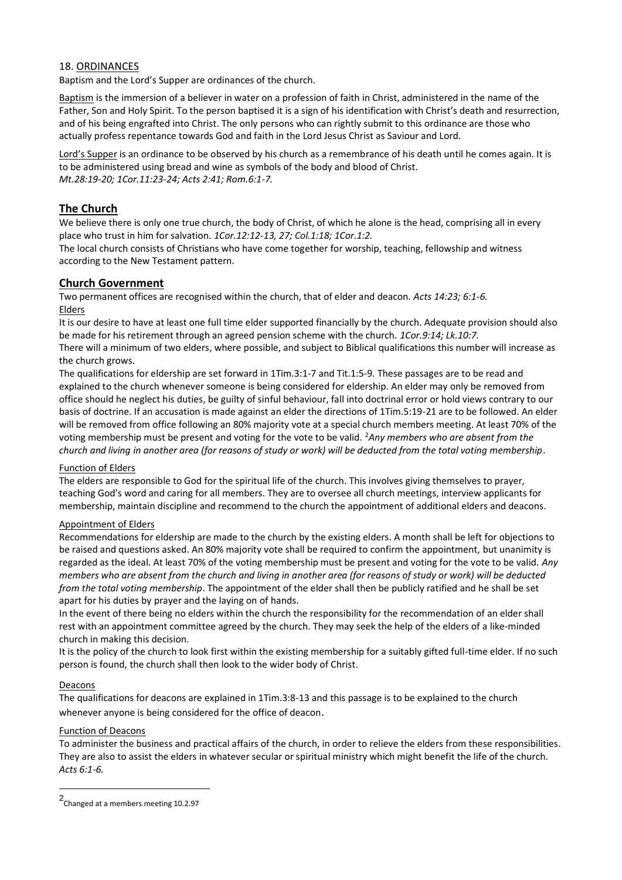### 18. ORDINANCES

Baptism and the Lord's Supper are ordinances of the church.

Baptism is the immersion of a believer in water on a profession of faith in Christ, administered in the name of the Father, Son and Holy Spirit. To the person baptised it is a sign of his identification with Christ's death and resurrection, and of his being engrafted into Christ. The only persons who can rightly submit to this ordinance are those who actually profess repentance towards God and faith in the Lord Jesus Christ as Saviour and Lord.

Lord's Supper is an ordinance to be observed by his church as a remembrance of his death until he comes again. It is to be administered using bread and wine as symbols of the body and blood of Christ. *Mt.28:19-20; 1Cor.11:23-24; Acts 2:41; Rom.6:1-7.*

## **The Church**

We believe there is only one true church, the body of Christ, of which he alone is the head, comprising all in every place who trust in him for salvation. *1Cor.12:12-13, 27; Col.1:18; 1Cor.1:2.*

The local church consists of Christians who have come together for worship, teaching, fellowship and witness according to the New Testament pattern.

### **Church Government**

Two permanent offices are recognised within the church, that of elder and deacon. *Acts 14:23; 6:1-6.* Elders

It is our desire to have at least one full time elder supported financially by the church. Adequate provision should also be made for his retirement through an agreed pension scheme with the church. *1Cor.9:14; Lk.10:7.*

There will a minimum of two elders, where possible, and subject to Biblical qualifications this number will increase as the church grows.

The qualifications for eldership are set forward in 1Tim.3:1-7 and Tit.1:5-9. These passages are to be read and explained to the church whenever someone is being considered for eldership. An elder may only be removed from office should he neglect his duties, be guilty of sinful behaviour, fall into doctrinal error or hold views contrary to our basis of doctrine. If an accusation is made against an elder the directions of 1Tim.5:19-21 are to be followed. An elder will be removed from office following an 80% majority vote at a special church members meeting. At least 70% of the voting membership must be present and voting for the vote to be valid. <sup>2</sup>*Any members who are absent from the church and living in another area (for reasons of study or work) will be deducted from the total voting membership*.

#### Function of Elders

The elders are responsible to God for the spiritual life of the church. This involves giving themselves to prayer, teaching God's word and caring for all members. They are to oversee all church meetings, interview applicants for membership, maintain discipline and recommend to the church the appointment of additional elders and deacons.

#### Appointment of Elders

Recommendations for eldership are made to the church by the existing elders. A month shall be left for objections to be raised and questions asked. An 80% majority vote shall be required to confirm the appointment, but unanimity is regarded as the ideal. At least 70% of the voting membership must be present and voting for the vote to be valid. *Any members who are absent from the church and living in another area (for reasons of study or work) will be deducted from the total voting membership*. The appointment of the elder shall then be publicly ratified and he shall be set apart for his duties by prayer and the laying on of hands.

In the event of there being no elders within the church the responsibility for the recommendation of an elder shall rest with an appointment committee agreed by the church. They may seek the help of the elders of a like-minded church in making this decision.

It is the policy of the church to look first within the existing membership for a suitably gifted full-time elder. If no such person is found, the church shall then look to the wider body of Christ.

#### Deacons

1

The qualifications for deacons are explained in 1Tim.3:8-13 and this passage is to be explained to the church whenever anyone is being considered for the office of deacon.

#### Function of Deacons

To administer the business and practical affairs of the church, in order to relieve the elders from these responsibilities. They are also to assist the elders in whatever secular or spiritual ministry which might benefit the life of the church. *Acts 6:1-6.*

<sup>2</sup> Changed at a members meeting 10.2.97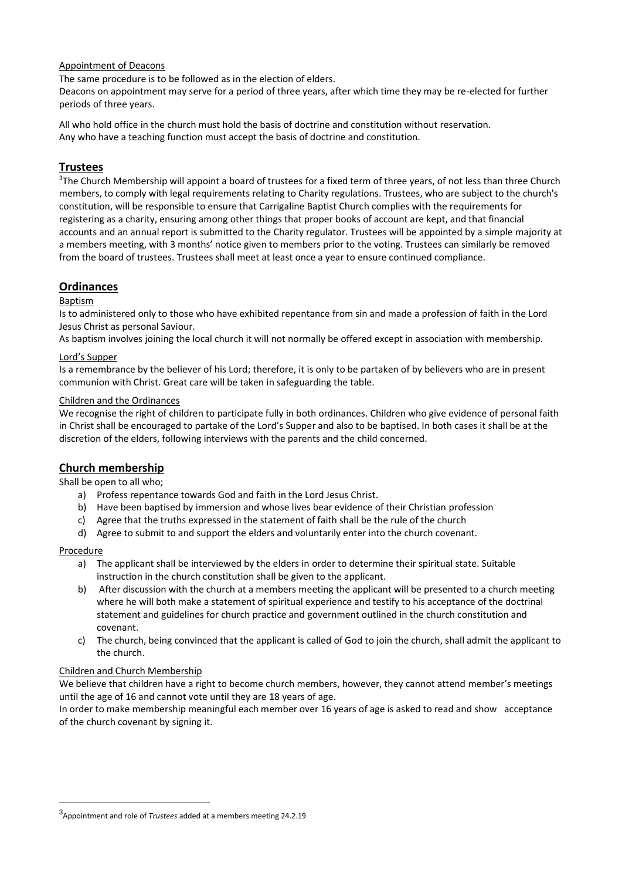#### Appointment of Deacons

The same procedure is to be followed as in the election of elders.

Deacons on appointment may serve for a period of three years, after which time they may be re-elected for further periods of three years.

All who hold office in the church must hold the basis of doctrine and constitution without reservation. Any who have a teaching function must accept the basis of doctrine and constitution.

## **Trustees**

<sup>3</sup>The Church Membership will appoint a board of trustees for a fixed term of three years, of not less than three Church members, to comply with legal requirements relating to Charity regulations. Trustees, who are subject to the church's constitution, will be responsible to ensure that Carrigaline Baptist Church complies with the requirements for registering as a charity, ensuring among other things that proper books of account are kept, and that financial accounts and an annual report is submitted to the Charity regulator. Trustees will be appointed by a simple majority at a members meeting, with 3 months' notice given to members prior to the voting. Trustees can similarly be removed from the board of trustees. Trustees shall meet at least once a year to ensure continued compliance.

## **Ordinances**

#### Baptism

Is to administered only to those who have exhibited repentance from sin and made a profession of faith in the Lord Jesus Christ as personal Saviour.

As baptism involves joining the local church it will not normally be offered except in association with membership.

#### Lord's Supper

Is a remembrance by the believer of his Lord; therefore, it is only to be partaken of by believers who are in present communion with Christ. Great care will be taken in safeguarding the table.

#### Children and the Ordinances

We recognise the right of children to participate fully in both ordinances. Children who give evidence of personal faith in Christ shall be encouraged to partake of the Lord's Supper and also to be baptised. In both cases it shall be at the discretion of the elders, following interviews with the parents and the child concerned.

## **Church membership**

Shall be open to all who;

- a) Profess repentance towards God and faith in the Lord Jesus Christ.
- b) Have been baptised by immersion and whose lives bear evidence of their Christian profession
- c) Agree that the truths expressed in the statement of faith shall be the rule of the church
- d) Agree to submit to and support the elders and voluntarily enter into the church covenant.

#### Procedure

<u>.</u>

- a) The applicant shall be interviewed by the elders in order to determine their spiritual state. Suitable instruction in the church constitution shall be given to the applicant.
- b) After discussion with the church at a members meeting the applicant will be presented to a church meeting where he will both make a statement of spiritual experience and testify to his acceptance of the doctrinal statement and guidelines for church practice and government outlined in the church constitution and covenant.
- c) The church, being convinced that the applicant is called of God to join the church, shall admit the applicant to the church.

### Children and Church Membership

We believe that children have a right to become church members, however, they cannot attend member's meetings until the age of 16 and cannot vote until they are 18 years of age.

In order to make membership meaningful each member over 16 years of age is asked to read and show acceptance of the church covenant by signing it.

<sup>3</sup> Appointment and role of *Trustees* added at a members meeting 24.2.19